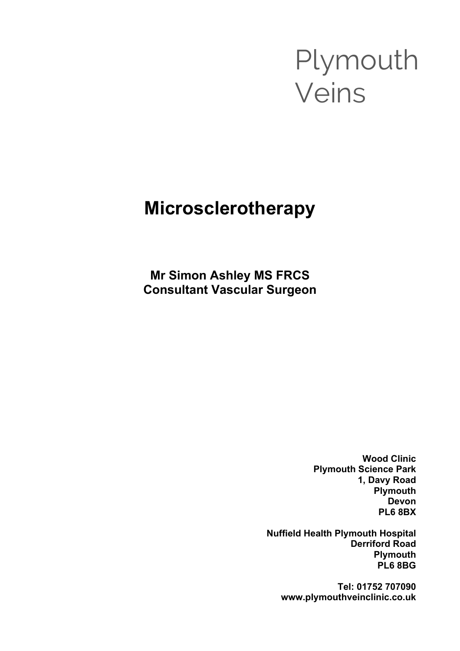# Plymouth Veins

# **Microsclerotherapy**

**Mr Simon Ashley MS FRCS Consultant Vascular Surgeon**

> **Wood Clinic Plymouth Science Park 1, Davy Road Plymouth Devon PL6 8BX**

**Nuffield Health Plymouth Hospital Derriford Road Plymouth PL6 8BG**

> **Tel: 01752 707090 www.plymouthveinclinic.co.uk**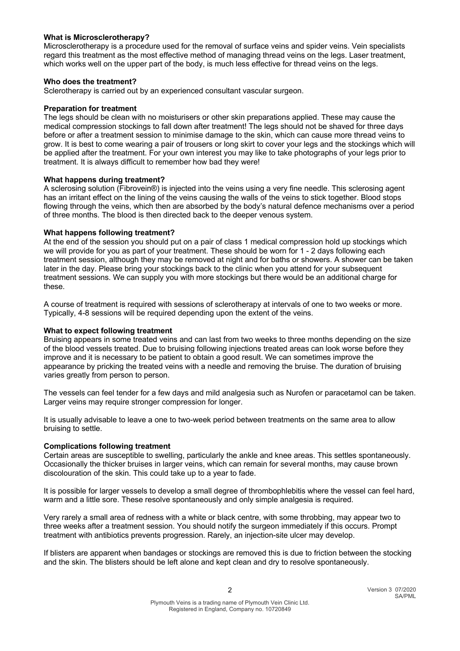## **What is Microsclerotherapy?**

Microsclerotherapy is a procedure used for the removal of surface veins and spider veins. Vein specialists regard this treatment as the most effective method of managing thread veins on the legs. Laser treatment, which works well on the upper part of the body, is much less effective for thread veins on the legs.

#### **Who does the treatment?**

Sclerotherapy is carried out by an experienced consultant vascular surgeon.

#### **Preparation for treatment**

The legs should be clean with no moisturisers or other skin preparations applied. These may cause the medical compression stockings to fall down after treatment! The legs should not be shaved for three days before or after a treatment session to minimise damage to the skin, which can cause more thread veins to grow. It is best to come wearing a pair of trousers or long skirt to cover your legs and the stockings which will be applied after the treatment. For your own interest you may like to take photographs of your legs prior to treatment. It is always difficult to remember how bad they were!

#### **What happens during treatment?**

A sclerosing solution (Fibrovein®) is injected into the veins using a very fine needle. This sclerosing agent has an irritant effect on the lining of the veins causing the walls of the veins to stick together. Blood stops flowing through the veins, which then are absorbed by the body's natural defence mechanisms over a period of three months. The blood is then directed back to the deeper venous system.

### **What happens following treatment?**

At the end of the session you should put on a pair of class 1 medical compression hold up stockings which we will provide for you as part of your treatment. These should be worn for 1 - 2 days following each treatment session, although they may be removed at night and for baths or showers. A shower can be taken later in the day. Please bring your stockings back to the clinic when you attend for your subsequent treatment sessions. We can supply you with more stockings but there would be an additional charge for these.

A course of treatment is required with sessions of sclerotherapy at intervals of one to two weeks or more. Typically, 4-8 sessions will be required depending upon the extent of the veins.

#### **What to expect following treatment**

Bruising appears in some treated veins and can last from two weeks to three months depending on the size of the blood vessels treated. Due to bruising following injections treated areas can look worse before they improve and it is necessary to be patient to obtain a good result. We can sometimes improve the appearance by pricking the treated veins with a needle and removing the bruise. The duration of bruising varies greatly from person to person.

The vessels can feel tender for a few days and mild analgesia such as Nurofen or paracetamol can be taken. Larger veins may require stronger compression for longer.

It is usually advisable to leave a one to two-week period between treatments on the same area to allow bruising to settle.

#### **Complications following treatment**

Certain areas are susceptible to swelling, particularly the ankle and knee areas. This settles spontaneously. Occasionally the thicker bruises in larger veins, which can remain for several months, may cause brown discolouration of the skin. This could take up to a year to fade.

It is possible for larger vessels to develop a small degree of thrombophlebitis where the vessel can feel hard, warm and a little sore. These resolve spontaneously and only simple analgesia is required.

Very rarely a small area of redness with a white or black centre, with some throbbing, may appear two to three weeks after a treatment session. You should notify the surgeon immediately if this occurs. Prompt treatment with antibiotics prevents progression. Rarely, an injection-site ulcer may develop.

If blisters are apparent when bandages or stockings are removed this is due to friction between the stocking and the skin. The blisters should be left alone and kept clean and dry to resolve spontaneously.

2